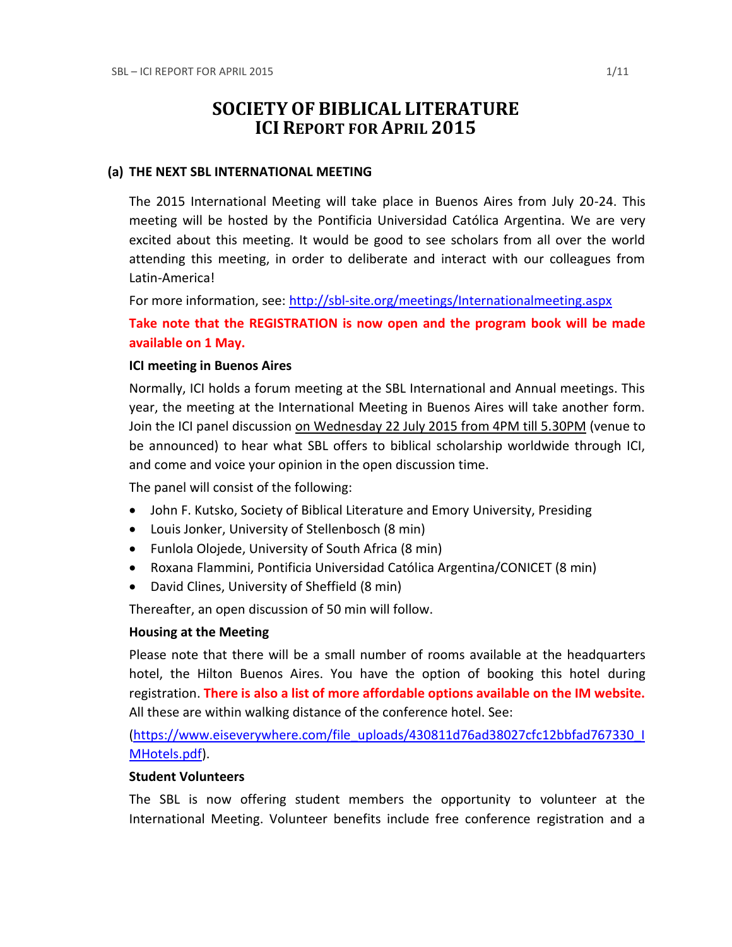# **SOCIETY OF BIBLICAL LITERATURE ICI REPORT FOR APRIL 2015**

#### **(a) THE NEXT SBL INTERNATIONAL MEETING**

The 2015 International Meeting will take place in Buenos Aires from July 20-24. This meeting will be hosted by the Pontificia Universidad Católica Argentina. We are very excited about this meeting. It would be good to see scholars from all over the world attending this meeting, in order to deliberate and interact with our colleagues from Latin-America!

For more information, see:<http://sbl-site.org/meetings/Internationalmeeting.aspx>

**Take note that the REGISTRATION is now open and the program book will be made available on 1 May.**

#### **ICI meeting in Buenos Aires**

Normally, ICI holds a forum meeting at the SBL International and Annual meetings. This year, the meeting at the International Meeting in Buenos Aires will take another form. Join the ICI panel discussion on Wednesday 22 July 2015 from 4PM till 5.30PM (venue to be announced) to hear what SBL offers to biblical scholarship worldwide through ICI, and come and voice your opinion in the open discussion time.

The panel will consist of the following:

- John F. Kutsko, Society of Biblical Literature and Emory University, Presiding
- Louis Jonker, University of Stellenbosch (8 min)
- Funlola Olojede, University of South Africa (8 min)
- Roxana Flammini, Pontificia Universidad Católica Argentina/CONICET (8 min)
- David Clines, University of Sheffield (8 min)

Thereafter, an open discussion of 50 min will follow.

#### **Housing at the Meeting**

Please note that there will be a small number of rooms available at the headquarters hotel, the Hilton Buenos Aires. You have the option of booking this hotel during registration. **There is also a list of more affordable options available on the IM website.** All these are within walking distance of the conference hotel. See:

[\(https://www.eiseverywhere.com/file\\_uploads/430811d76ad38027cfc12bbfad767330\\_I](https://www.eiseverywhere.com/file_uploads/430811d76ad38027cfc12bbfad767330_IMHotels.pdf) [MHotels.pdf\)](https://www.eiseverywhere.com/file_uploads/430811d76ad38027cfc12bbfad767330_IMHotels.pdf).

## **Student Volunteers**

The SBL is now offering student members the opportunity to volunteer at the International Meeting. Volunteer benefits include free conference registration and a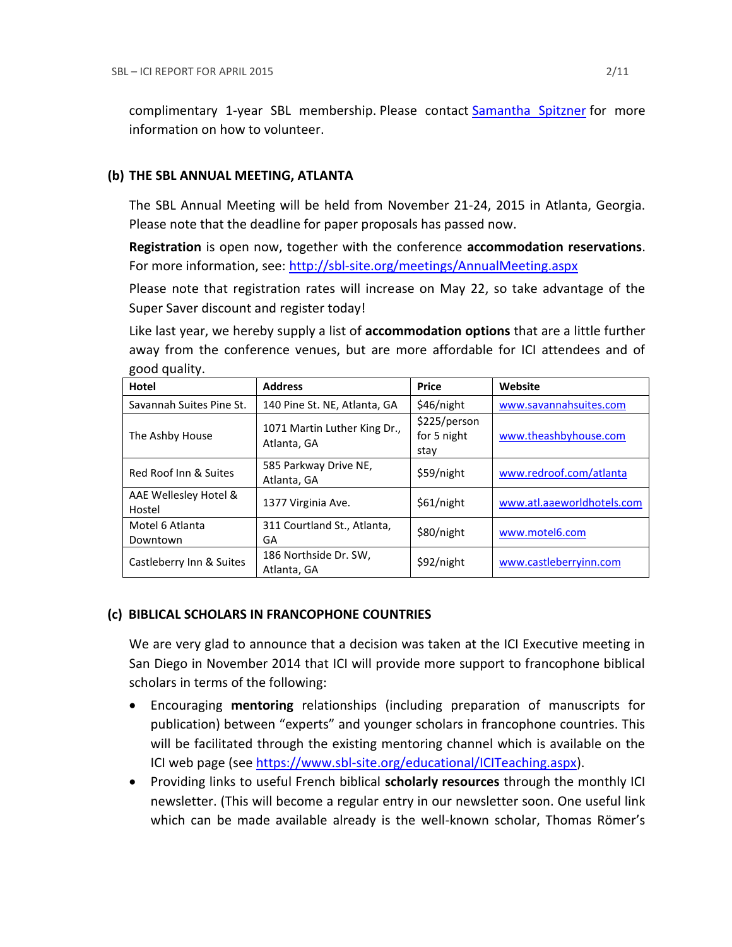complimentary 1-year SBL membership. Please contact [Samantha Spitzner](mailto:Samantha.Spitzner@sbl-site.org) for more information on how to volunteer.

#### **(b) THE SBL ANNUAL MEETING, ATLANTA**

The SBL Annual Meeting will be held from November 21-24, 2015 in Atlanta, Georgia. Please note that the deadline for paper proposals has passed now.

**Registration** is open now, together with the conference **accommodation reservations**. For more information, see: <http://sbl-site.org/meetings/AnnualMeeting.aspx>

Please note that registration rates will increase on May 22, so take advantage of the Super Saver discount and register today!

Like last year, we hereby supply a list of **accommodation options** that are a little further away from the conference venues, but are more affordable for ICI attendees and of good quality.

| 800 u danisti                   |                                             |                                     |                            |
|---------------------------------|---------------------------------------------|-------------------------------------|----------------------------|
| Hotel                           | <b>Address</b>                              | <b>Price</b>                        | Website                    |
| Savannah Suites Pine St.        | 140 Pine St. NE, Atlanta, GA                | \$46/night                          | www.savannahsuites.com     |
| The Ashby House                 | 1071 Martin Luther King Dr.,<br>Atlanta, GA | \$225/person<br>for 5 night<br>stay | www.theashbyhouse.com      |
| Red Roof Inn & Suites           | 585 Parkway Drive NE,<br>Atlanta, GA        | \$59/night                          | www.redroof.com/atlanta    |
| AAE Wellesley Hotel &<br>Hostel | 1377 Virginia Ave.                          | \$61/night                          | www.atl.aaeworldhotels.com |
| Motel 6 Atlanta<br>Downtown     | 311 Courtland St., Atlanta,<br>GA           | \$80/night                          | www.motel6.com             |
| Castleberry Inn & Suites        | 186 Northside Dr. SW,<br>Atlanta, GA        | \$92/night                          | www.castleberryinn.com     |

## **(c) BIBLICAL SCHOLARS IN FRANCOPHONE COUNTRIES**

We are very glad to announce that a decision was taken at the ICI Executive meeting in San Diego in November 2014 that ICI will provide more support to francophone biblical scholars in terms of the following:

- Encouraging **mentoring** relationships (including preparation of manuscripts for publication) between "experts" and younger scholars in francophone countries. This will be facilitated through the existing mentoring channel which is available on the ICI web page (see [https://www.sbl-site.org/educational/ICITeaching.aspx\)](https://www.sbl-site.org/educational/ICITeaching.aspx).
- Providing links to useful French biblical **scholarly resources** through the monthly ICI newsletter. (This will become a regular entry in our newsletter soon. One useful link which can be made available already is the well-known scholar, Thomas Römer's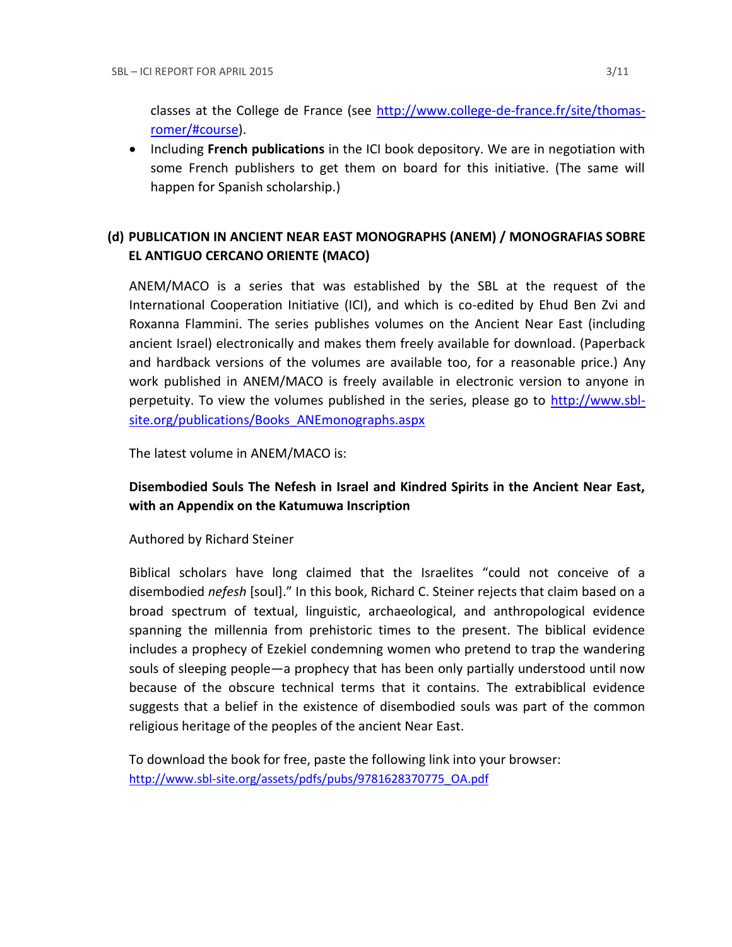classes at the College de France (see [http://www.college-de-france.fr/site/thomas](http://www.college-de-france.fr/site/thomas-romer/#course)[romer/#course\)](http://www.college-de-france.fr/site/thomas-romer/#course).

**•** Including French publications in the ICI book depository. We are in negotiation with some French publishers to get them on board for this initiative. (The same will happen for Spanish scholarship.)

# **(d) PUBLICATION IN [ANCIENT NEAR EAST MONOGRAPHS](http://www.sbl-site.org/publications/Books_ANEmonographs.aspx) (ANEM) / [MONOGRAFIAS SOBRE](http://www.uca.edu.ar/index.php/site/index/en/universidad/facultades/buenos-aires/cs-sociales-politicas-y-de-la-comunicacion/investigacion/cehao/monografias_aco/)  [EL ANTIGUO CERCANO ORIENTE](http://www.uca.edu.ar/index.php/site/index/en/universidad/facultades/buenos-aires/cs-sociales-politicas-y-de-la-comunicacion/investigacion/cehao/monografias_aco/) (MACO)**

ANEM/MACO is a series that was established by the SBL at the request of the International Cooperation Initiative (ICI), and which is co-edited by Ehud Ben Zvi and Roxanna Flammini. The series publishes volumes on the Ancient Near East (including ancient Israel) electronically and makes them freely available for download. (Paperback and hardback versions of the volumes are available too, for a reasonable price.) Any work published in ANEM/MACO is freely available in electronic version to anyone in perpetuity. To view the volumes published in the series, please go to [http://www.sbl](http://www.sbl-site.org/publications/Books_ANEmonographs.aspx)[site.org/publications/Books\\_ANEmonographs.aspx](http://www.sbl-site.org/publications/Books_ANEmonographs.aspx)

The latest volume in ANEM/MACO is:

## **Disembodied Souls The Nefesh in Israel and Kindred Spirits in the Ancient Near East, with an Appendix on the Katumuwa Inscription**

## Authored by Richard Steiner

Biblical scholars have long claimed that the Israelites "could not conceive of a disembodied *nefesh* [soul]." In this book, Richard C. Steiner rejects that claim based on a broad spectrum of textual, linguistic, archaeological, and anthropological evidence spanning the millennia from prehistoric times to the present. The biblical evidence includes a prophecy of Ezekiel condemning women who pretend to trap the wandering souls of sleeping people—a prophecy that has been only partially understood until now because of the obscure technical terms that it contains. The extrabiblical evidence suggests that a belief in the existence of disembodied souls was part of the common religious heritage of the peoples of the ancient Near East.

To download the book for free, paste the following link into your browser: http://www.sbl-site.org/assets/pdfs/pubs/9781628370775\_OA.pdf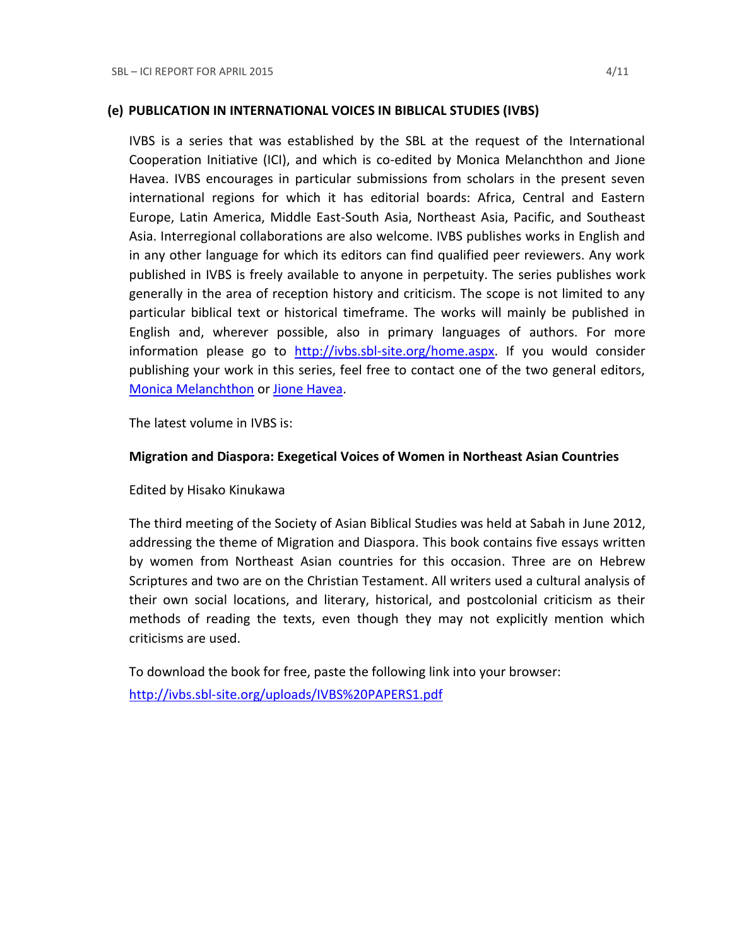#### **(e) PUBLICATION IN INTERNATIONAL VOICES IN BIBLICAL STUDIES (IVBS)**

IVBS is a series that was established by the SBL at the request of the International Cooperation Initiative (ICI), and which is co-edited by Monica Melanchthon and Jione Havea. IVBS encourages in particular submissions from scholars in the present seven international regions for which it has editorial boards: Africa, Central and Eastern Europe, Latin America, Middle East-South Asia, Northeast Asia, Pacific, and Southeast Asia. Interregional collaborations are also welcome. IVBS publishes works in English and in any other language for which its editors can find qualified peer reviewers. Any work published in IVBS is freely available to anyone in perpetuity. The series publishes work generally in the area of reception history and criticism. The scope is not limited to any particular biblical text or historical timeframe. The works will mainly be published in English and, wherever possible, also in primary languages of authors. For more information please go to [http://ivbs.sbl-site.org/home.aspx.](http://ivbs.sbl-site.org/home.aspx) If you would consider publishing your work in this series, feel free to contact one of the two general editors, [Monica Melanchthon](mailto:ivbs2010@gmail.com) or [Jione Havea.](mailto:jioneh@nsw.uca.org.au)

The latest volume in IVBS is:

## **Migration and Diaspora: Exegetical Voices of Women in Northeast Asian Countries**

Edited by Hisako Kinukawa

The third meeting of the Society of Asian Biblical Studies was held at Sabah in June 2012, addressing the theme of Migration and Diaspora. This book contains five essays written by women from Northeast Asian countries for this occasion. Three are on Hebrew Scriptures and two are on the Christian Testament. All writers used a cultural analysis of their own social locations, and literary, historical, and postcolonial criticism as their methods of reading the texts, even though they may not explicitly mention which criticisms are used.

To download the book for free, paste the following link into your browser: <http://ivbs.sbl-site.org/uploads/IVBS%20PAPERS1.pdf>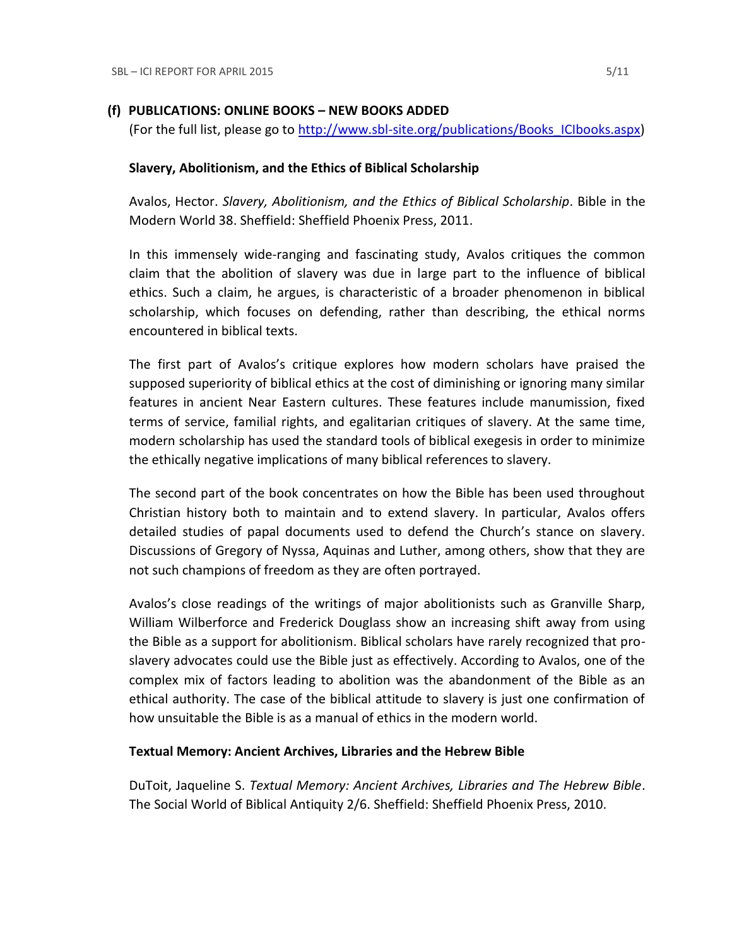## **(f) PUBLICATIONS: ONLINE BOOKS – NEW BOOKS ADDED**

(For the full list, please go to [http://www.sbl-site.org/publications/Books\\_ICIbooks.aspx\)](http://www.sbl-site.org/publications/Books_ICIbooks.aspx)

## **Slavery, Abolitionism, and the Ethics of Biblical Scholarship**

Avalos, Hector. *Slavery, Abolitionism, and the Ethics of Biblical Scholarship*. Bible in the Modern World 38. Sheffield: Sheffield Phoenix Press, 2011.

In this immensely wide-ranging and fascinating study, Avalos critiques the common claim that the abolition of slavery was due in large part to the influence of biblical ethics. Such a claim, he argues, is characteristic of a broader phenomenon in biblical scholarship, which focuses on defending, rather than describing, the ethical norms encountered in biblical texts.

The first part of Avalos's critique explores how modern scholars have praised the supposed superiority of biblical ethics at the cost of diminishing or ignoring many similar features in ancient Near Eastern cultures. These features include manumission, fixed terms of service, familial rights, and egalitarian critiques of slavery. At the same time, modern scholarship has used the standard tools of biblical exegesis in order to minimize the ethically negative implications of many biblical references to slavery.

The second part of the book concentrates on how the Bible has been used throughout Christian history both to maintain and to extend slavery. In particular, Avalos offers detailed studies of papal documents used to defend the Church's stance on slavery. Discussions of Gregory of Nyssa, Aquinas and Luther, among others, show that they are not such champions of freedom as they are often portrayed.

Avalos's close readings of the writings of major abolitionists such as Granville Sharp, William Wilberforce and Frederick Douglass show an increasing shift away from using the Bible as a support for abolitionism. Biblical scholars have rarely recognized that proslavery advocates could use the Bible just as effectively. According to Avalos, one of the complex mix of factors leading to abolition was the abandonment of the Bible as an ethical authority. The case of the biblical attitude to slavery is just one confirmation of how unsuitable the Bible is as a manual of ethics in the modern world.

#### **Textual Memory: Ancient Archives, Libraries and the Hebrew Bible**

DuToit, Jaqueline S. *Textual Memory: Ancient Archives, Libraries and The Hebrew Bible*. The Social World of Biblical Antiquity 2/6. Sheffield: Sheffield Phoenix Press, 2010.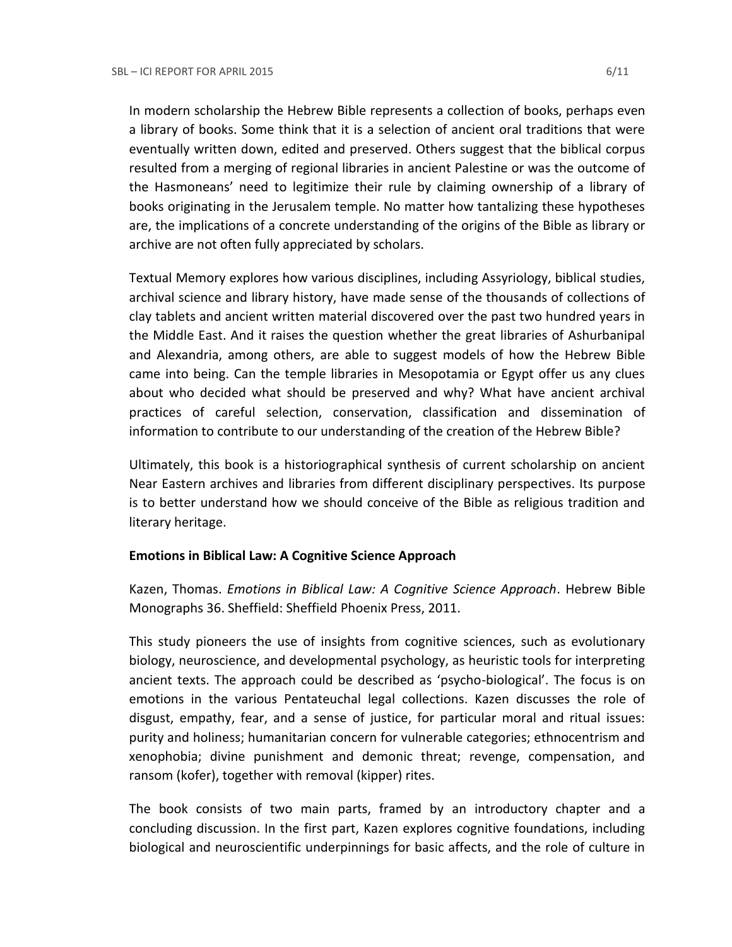In modern scholarship the Hebrew Bible represents a collection of books, perhaps even a library of books. Some think that it is a selection of ancient oral traditions that were eventually written down, edited and preserved. Others suggest that the biblical corpus resulted from a merging of regional libraries in ancient Palestine or was the outcome of the Hasmoneans' need to legitimize their rule by claiming ownership of a library of books originating in the Jerusalem temple. No matter how tantalizing these hypotheses are, the implications of a concrete understanding of the origins of the Bible as library or archive are not often fully appreciated by scholars.

Textual Memory explores how various disciplines, including Assyriology, biblical studies, archival science and library history, have made sense of the thousands of collections of clay tablets and ancient written material discovered over the past two hundred years in the Middle East. And it raises the question whether the great libraries of Ashurbanipal and Alexandria, among others, are able to suggest models of how the Hebrew Bible came into being. Can the temple libraries in Mesopotamia or Egypt offer us any clues about who decided what should be preserved and why? What have ancient archival practices of careful selection, conservation, classification and dissemination of information to contribute to our understanding of the creation of the Hebrew Bible?

Ultimately, this book is a historiographical synthesis of current scholarship on ancient Near Eastern archives and libraries from different disciplinary perspectives. Its purpose is to better understand how we should conceive of the Bible as religious tradition and literary heritage.

#### **Emotions in Biblical Law: A Cognitive Science Approach**

Kazen, Thomas. *Emotions in Biblical Law: A Cognitive Science Approach*. Hebrew Bible Monographs 36. Sheffield: Sheffield Phoenix Press, 2011.

This study pioneers the use of insights from cognitive sciences, such as evolutionary biology, neuroscience, and developmental psychology, as heuristic tools for interpreting ancient texts. The approach could be described as 'psycho-biological'. The focus is on emotions in the various Pentateuchal legal collections. Kazen discusses the role of disgust, empathy, fear, and a sense of justice, for particular moral and ritual issues: purity and holiness; humanitarian concern for vulnerable categories; ethnocentrism and xenophobia; divine punishment and demonic threat; revenge, compensation, and ransom (kofer), together with removal (kipper) rites.

The book consists of two main parts, framed by an introductory chapter and a concluding discussion. In the first part, Kazen explores cognitive foundations, including biological and neuroscientific underpinnings for basic affects, and the role of culture in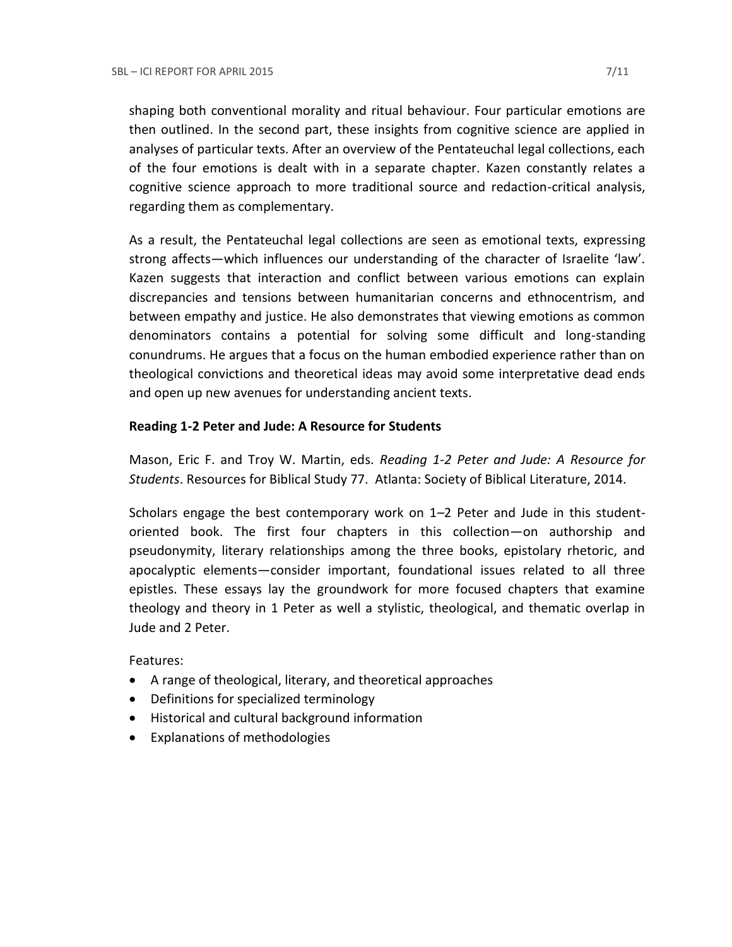shaping both conventional morality and ritual behaviour. Four particular emotions are then outlined. In the second part, these insights from cognitive science are applied in analyses of particular texts. After an overview of the Pentateuchal legal collections, each of the four emotions is dealt with in a separate chapter. Kazen constantly relates a cognitive science approach to more traditional source and redaction-critical analysis, regarding them as complementary.

As a result, the Pentateuchal legal collections are seen as emotional texts, expressing strong affects—which influences our understanding of the character of Israelite 'law'. Kazen suggests that interaction and conflict between various emotions can explain discrepancies and tensions between humanitarian concerns and ethnocentrism, and between empathy and justice. He also demonstrates that viewing emotions as common denominators contains a potential for solving some difficult and long-standing conundrums. He argues that a focus on the human embodied experience rather than on theological convictions and theoretical ideas may avoid some interpretative dead ends and open up new avenues for understanding ancient texts.

## **Reading 1-2 Peter and Jude: A Resource for Students**

Mason, Eric F. and Troy W. Martin, eds. *Reading 1-2 Peter and Jude: A Resource for Students*. Resources for Biblical Study 77. Atlanta: Society of Biblical Literature, 2014.

Scholars engage the best contemporary work on 1–2 Peter and Jude in this studentoriented book. The first four chapters in this collection—on authorship and pseudonymity, literary relationships among the three books, epistolary rhetoric, and apocalyptic elements—consider important, foundational issues related to all three epistles. These essays lay the groundwork for more focused chapters that examine theology and theory in 1 Peter as well a stylistic, theological, and thematic overlap in Jude and 2 Peter.

Features:

- A range of theological, literary, and theoretical approaches
- Definitions for specialized terminology
- Historical and cultural background information
- Explanations of methodologies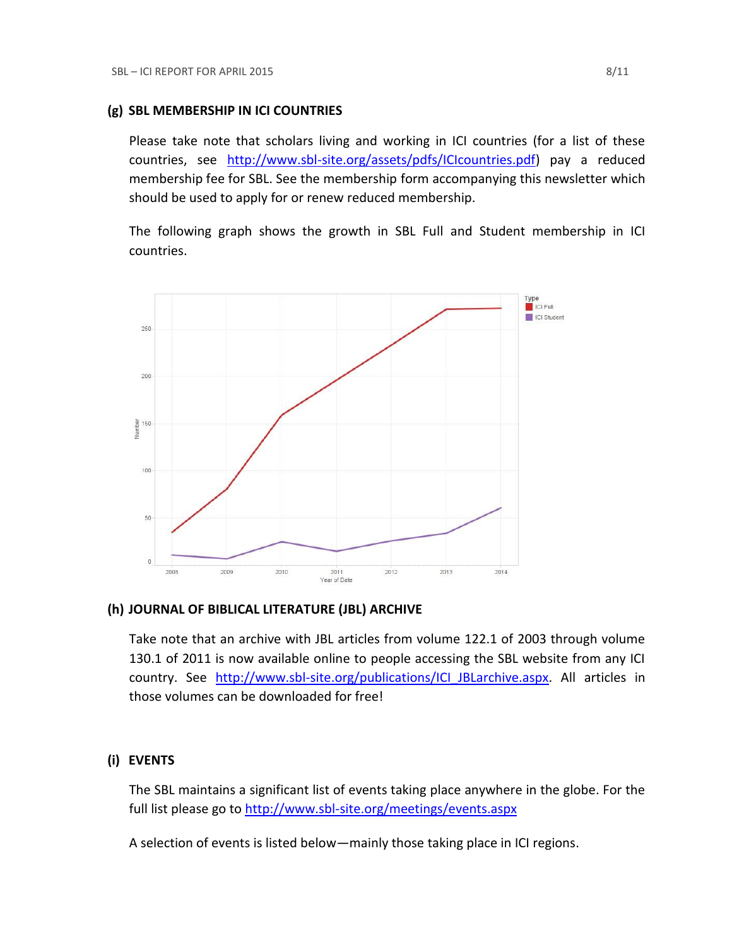## **(g) SBL MEMBERSHIP IN ICI COUNTRIES**

Please take note that scholars living and working in ICI countries (for a list of these countries, see [http://www.sbl-site.org/assets/pdfs/ICIcountries.pdf\)](http://www.sbl-site.org/assets/pdfs/ICIcountries.pdf) pay a reduced membership fee for SBL. See the membership form accompanying this newsletter which should be used to apply for or renew reduced membership.

The following graph shows the growth in SBL Full and Student membership in ICI countries.



#### **(h) JOURNAL OF BIBLICAL LITERATURE (JBL) ARCHIVE**

Take note that an archive with JBL articles from volume 122.1 of 2003 through volume 130.1 of 2011 is now available online to people accessing the SBL website from any ICI country. See http://www.sbl-site.org/publications/ICI JBLarchive.aspx. All articles in those volumes can be downloaded for free!

## **(i) EVENTS**

The SBL maintains a significant list of events taking place anywhere in the globe. For the full list please go to<http://www.sbl-site.org/meetings/events.aspx>

A selection of events is listed below—mainly those taking place in ICI regions.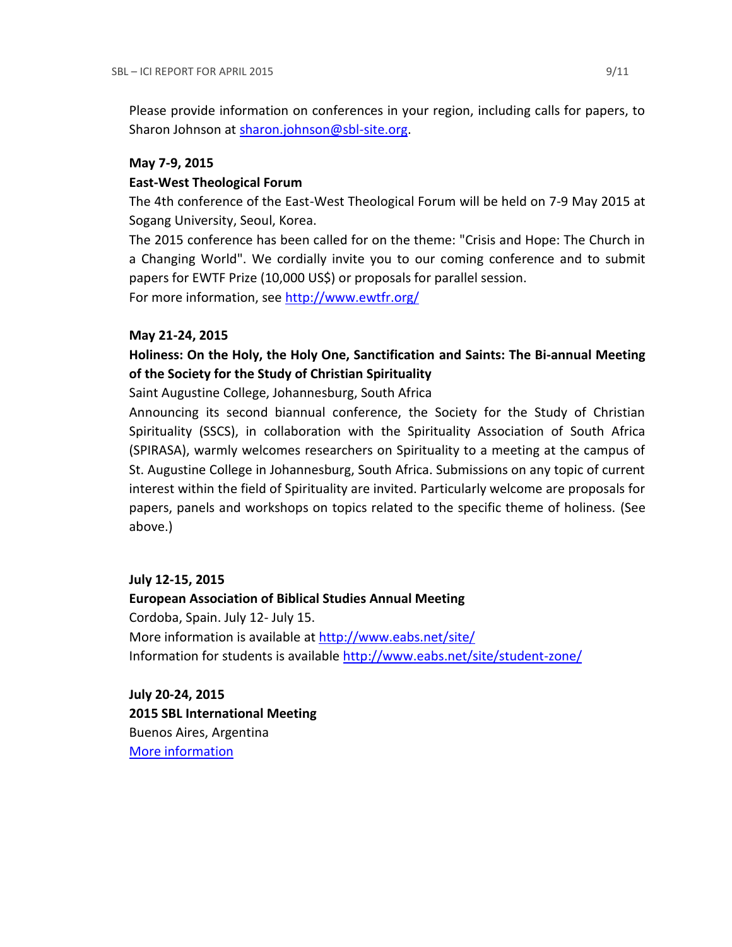Please provide information on conferences in your region, including calls for papers, to Sharon Johnson at [sharon.johnson@sbl-site.org.](mailto:sharon.johnson@sbl-site.org)

#### **May 7-9, 2015**

## **East-West Theological Forum**

The 4th conference of the East-West Theological Forum will be held on 7-9 May 2015 at Sogang University, Seoul, Korea.

The 2015 conference has been called for on the theme: "Crisis and Hope: The Church in a Changing World". We cordially invite you to our coming conference and to submit papers for EWTF Prize (10,000 US\$) or proposals for parallel session.

For more information, see<http://www.ewtfr.org/>

## **May 21-24, 2015**

## **Holiness: On the Holy, the Holy One, Sanctification and Saints: The Bi-annual Meeting of the Society for the Study of Christian Spirituality**

Saint Augustine College, Johannesburg, South Africa

Announcing its second biannual conference, the Society for the Study of Christian Spirituality (SSCS), in collaboration with the Spirituality Association of South Africa (SPIRASA), warmly welcomes researchers on Spirituality to a meeting at the campus of St. Augustine College in Johannesburg, South Africa. Submissions on any topic of current interest within the field of Spirituality are invited. Particularly welcome are proposals for papers, panels and workshops on topics related to the specific theme of holiness. (See above.)

## **July 12-15, 2015**

**European Association of Biblical Studies Annual Meeting** Cordoba, Spain. July 12- July 15. More information is available a[t http://www.eabs.net/site/](http://www.eabs.net/site/) Information for students is available <http://www.eabs.net/site/student-zone/>

**July 20-24, 2015 2015 SBL International Meeting** Buenos Aires, Argentina [More information](http://www.sbl-site.org/meetings/Internationalmeeting.aspx)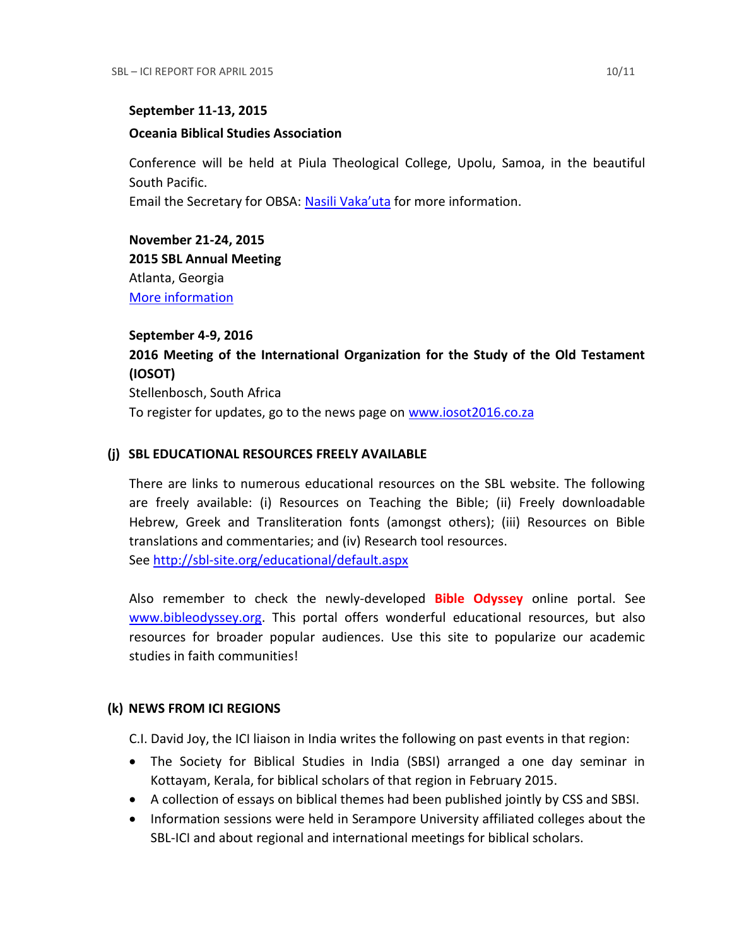#### **September 11-13, 2015**

#### **Oceania Biblical Studies Association**

Conference will be held at Piula Theological College, Upolu, Samoa, in the beautiful South Pacific.

Email the Secretary for OBSA: [Nasili Vaka'uta](mailto:%20OBSAMail@gmail.com) for more information.

**November 21-24, 2015 2015 SBL Annual Meeting** Atlanta, Georgia [More information](http://sbl-site.org/meetings/Annualmeeting.aspx)

**September 4-9, 2016 2016 Meeting of the International Organization for the Study of the Old Testament (IOSOT)** Stellenbosch, South Africa To register for updates, go to the news page on [www.iosot2016.co.za](http://www.iosot2016.co.za/)

## **(j) SBL EDUCATIONAL RESOURCES FREELY AVAILABLE**

There are links to numerous educational resources on the SBL website. The following are freely available: (i) Resources on Teaching the Bible; (ii) Freely downloadable Hebrew, Greek and Transliteration fonts (amongst others); (iii) Resources on Bible translations and commentaries; and (iv) Research tool resources. See<http://sbl-site.org/educational/default.aspx>

Also remember to check the newly-developed **Bible Odyssey** online portal. See [www.bibleodyssey.org.](http://www.bibleodyssey.org/) This portal offers wonderful educational resources, but also resources for broader popular audiences. Use this site to popularize our academic studies in faith communities!

## **(k) NEWS FROM ICI REGIONS**

C.I. David Joy, the ICI liaison in India writes the following on past events in that region:

- The Society for Biblical Studies in India (SBSI) arranged a one day seminar in Kottayam, Kerala, for biblical scholars of that region in February 2015.
- A collection of essays on biblical themes had been published jointly by CSS and SBSI.
- Information sessions were held in Serampore University affiliated colleges about the SBL-ICI and about regional and international meetings for biblical scholars.